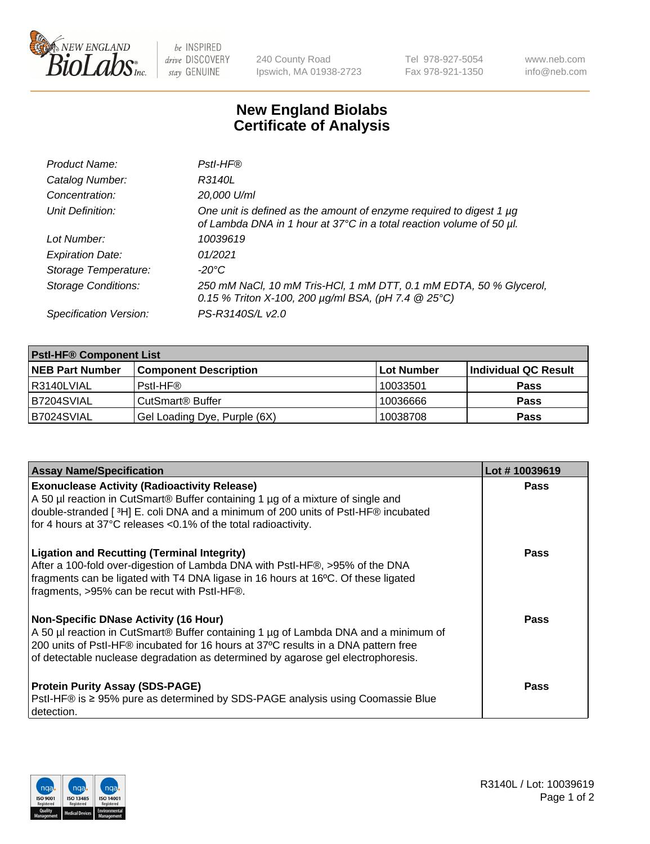

 $be$  INSPIRED drive DISCOVERY stay GENUINE

240 County Road Ipswich, MA 01938-2723 Tel 978-927-5054 Fax 978-921-1350 www.neb.com info@neb.com

## **New England Biolabs Certificate of Analysis**

| Product Name:              | Pstl-HF®                                                                                                                                             |
|----------------------------|------------------------------------------------------------------------------------------------------------------------------------------------------|
| Catalog Number:            | R3140L                                                                                                                                               |
| Concentration:             | 20,000 U/ml                                                                                                                                          |
| Unit Definition:           | One unit is defined as the amount of enzyme required to digest 1 µg<br>of Lambda DNA in 1 hour at 37°C in a total reaction volume of 50 µl.          |
| Lot Number:                | 10039619                                                                                                                                             |
| <b>Expiration Date:</b>    | 01/2021                                                                                                                                              |
| Storage Temperature:       | $-20^{\circ}$ C                                                                                                                                      |
| <b>Storage Conditions:</b> | 250 mM NaCl, 10 mM Tris-HCl, 1 mM DTT, 0.1 mM EDTA, 50 % Glycerol,<br>0.15 % Triton X-100, 200 $\mu$ g/ml BSA, (pH 7.4 $\textcircled{25}^{\circ}$ C) |
| Specification Version:     | PS-R3140S/L v2.0                                                                                                                                     |

| <b>PstI-HF® Component List</b> |                              |            |                      |  |
|--------------------------------|------------------------------|------------|----------------------|--|
| <b>NEB Part Number</b>         | <b>Component Description</b> | Lot Number | Individual QC Result |  |
| R3140LVIAL                     | Pstl-HF®                     | 10033501   | <b>Pass</b>          |  |
| B7204SVIAL                     | CutSmart <sup>®</sup> Buffer | 10036666   | <b>Pass</b>          |  |
| B7024SVIAL                     | Gel Loading Dye, Purple (6X) | 10038708   | <b>Pass</b>          |  |

| <b>Assay Name/Specification</b>                                                                                                                                                                                                                                                                               | Lot #10039619 |
|---------------------------------------------------------------------------------------------------------------------------------------------------------------------------------------------------------------------------------------------------------------------------------------------------------------|---------------|
| <b>Exonuclease Activity (Radioactivity Release)</b><br>A 50 µl reaction in CutSmart® Buffer containing 1 µg of a mixture of single and<br>double-stranded [3H] E. coli DNA and a minimum of 200 units of PstI-HF® incubated                                                                                   | <b>Pass</b>   |
| for 4 hours at 37°C releases <0.1% of the total radioactivity.                                                                                                                                                                                                                                                |               |
| <b>Ligation and Recutting (Terminal Integrity)</b><br>After a 100-fold over-digestion of Lambda DNA with PstI-HF®, >95% of the DNA<br>fragments can be ligated with T4 DNA ligase in 16 hours at 16°C. Of these ligated<br>fragments, >95% can be recut with PstI-HF®.                                        | Pass          |
| <b>Non-Specific DNase Activity (16 Hour)</b><br>A 50 µl reaction in CutSmart® Buffer containing 1 µg of Lambda DNA and a minimum of<br>200 units of PstI-HF® incubated for 16 hours at 37°C results in a DNA pattern free<br>of detectable nuclease degradation as determined by agarose gel electrophoresis. | Pass          |
| <b>Protein Purity Assay (SDS-PAGE)</b><br>PstI-HF® is ≥ 95% pure as determined by SDS-PAGE analysis using Coomassie Blue<br>I detection.                                                                                                                                                                      | Pass          |